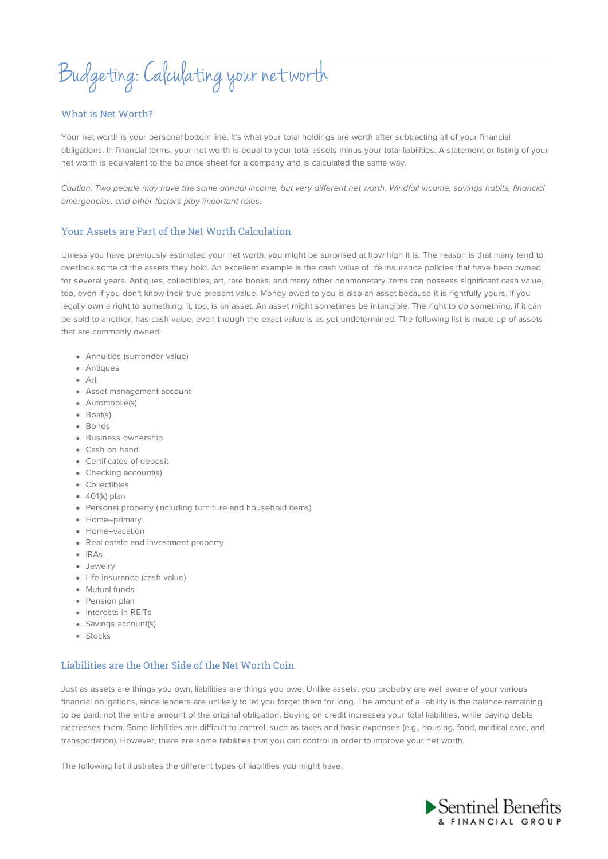Budgeting:Calculating your networth

#### What is Net Worth?

Your net worth is your personal bottom line. It's what your total holdings are worth after subtracting all of your financial obligations. In financial terms, your net worth is equal to your total assets minus your total liabilities. A statement or listing of your net worth is equivalent to the balance sheet for a company and is calculated the same way.

Caution: Two people may have the same annual income, but very different net worth. Windfall income, savings habits, financial emergencies, and other factors play important roles.

#### Your Assets are Part of the Net Worth Calculation

Unless you have previously estimated your net worth, you might be surprised at how high it is. The reason is that many tend to overlook some of the assets they hold. An excellent example is the cash value of life insurance policies that have been owned for several years. Antiques, collectibles, art, rare books, and many other nonmonetary items can possess significant cash value, too, even if you don't know their true present value. Money owed to you is also an asset because it is rightfully yours. If you legally own a right to something, it, too, is an asset. An asset might sometimes be intangible. The right to do something, if it can be sold to another, has cash value, even though the exact value is as yet undetermined. The following list is made up of assets that are commonly owned:

- Annuities (surrender value)
- Antiques
- Art
- Asset management account
- Automobile(s)
- Boat(s)
- Bonds
- **•** Business ownership
- Cash on hand
- Certificates of deposit
- Checking account(s)
- Collectibles
- $\bullet$  401(k) plan
- Personal property (including furniture and household items)
- Home--primary
- Home--vacation
- Real estate and investment property
- $\bullet$  IRAs
- Jewelry
- Life insurance (cash value)
- Mutual funds
- Pension plan
- Interests in REITs
- Savings account(s)
- Stocks

# Liabilities are the Other Side of the Net Worth Coin

Just as assets are things you own, liabilities are things you owe. Unlike assets, you probably are well aware of your various financial obligations, since lenders are unlikely to let you forget them for long. The amount of a liability is the balance remaining to be paid, not the entire amount of the original obligation. Buying on credit increases your total liabilities, while paying debts decreases them. Some liabilities are difficult to control, such as taxes and basic expenses (e.g., housing, food, medical care, and transportation). However, there are some liabilities that you can control in order to improve your net worth.

The following list illustrates the different types of liabilities you might have: